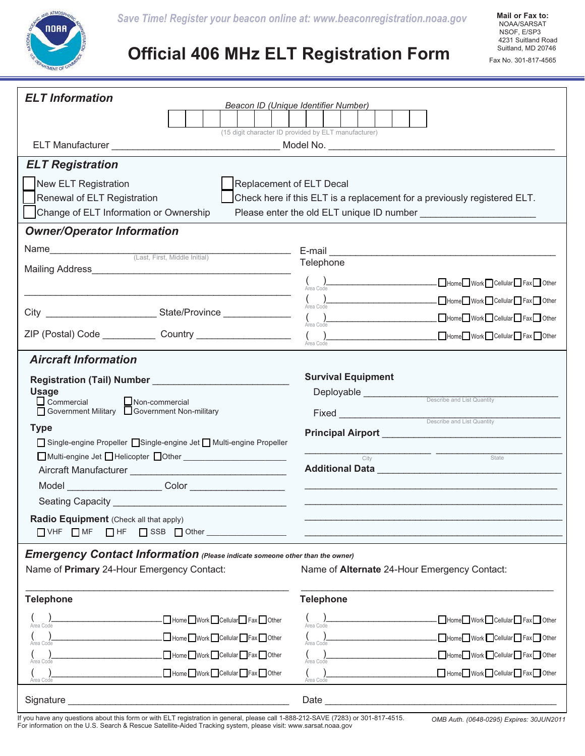

## **Official 406 MHz ELT Registration Form**

| <b>ELT</b> Information<br>Beacon ID (Unique Identifier Number)                                                                                                                |                              |                                                     |                                      |
|-------------------------------------------------------------------------------------------------------------------------------------------------------------------------------|------------------------------|-----------------------------------------------------|--------------------------------------|
|                                                                                                                                                                               |                              |                                                     |                                      |
| (15 digit character ID provided by ELT manufacturer)                                                                                                                          |                              |                                                     |                                      |
|                                                                                                                                                                               |                              |                                                     |                                      |
| <b>ELT Registration</b>                                                                                                                                                       |                              |                                                     |                                      |
| New ELT Registration<br>Replacement of ELT Decal                                                                                                                              |                              |                                                     |                                      |
| Renewal of ELT Registration<br>Check here if this ELT is a replacement for a previously registered ELT.<br>Change of ELT Information or Ownership                             |                              |                                                     |                                      |
| <b>Owner/Operator Information</b>                                                                                                                                             |                              |                                                     |                                      |
|                                                                                                                                                                               |                              |                                                     |                                      |
|                                                                                                                                                                               |                              | Telephone                                           |                                      |
|                                                                                                                                                                               |                              |                                                     | $\bigcirc_{\text{Area Code}}$ Code   |
|                                                                                                                                                                               |                              | Area Code<br>Area Code                              | Home Work Cellular Fax Other         |
| City ________________________________State/Province ____________________________                                                                                              |                              |                                                     | Home Work Cellular Fax Other         |
| ZIP (Postal) Code _______________ Country _____________________                                                                                                               |                              | $\Big(\!\!\bigcap_{\text{Area Code}}$               | Home Work Cellular Fax Other         |
| <b>Aircraft Information</b>                                                                                                                                                   |                              |                                                     |                                      |
| Registration (Tail) Number _____________________________                                                                                                                      |                              | <b>Survival Equipment</b>                           |                                      |
| <b>Usage</b>                                                                                                                                                                  |                              | <b>Deployable</b> <u>Describe and List Quantity</u> |                                      |
| $\Box$ Commercial $\Box$ Non-commercial<br>□ Government Military □ Government Non-military                                                                                    |                              | Fixed <u>examples and List Quantity</u>             |                                      |
| <b>Type</b>                                                                                                                                                                   |                              |                                                     |                                      |
| □ Single-engine Propeller □ Single-engine Jet □ Multi-engine Propeller                                                                                                        |                              |                                                     | <u> 1999 - Jan James James III (</u> |
|                                                                                                                                                                               |                              | City                                                | State                                |
|                                                                                                                                                                               |                              |                                                     |                                      |
|                                                                                                                                                                               |                              |                                                     |                                      |
| Radio Equipment (Check all that apply)                                                                                                                                        |                              |                                                     |                                      |
| $\Box$ HF<br>SSB Other<br>$\Box$ VHF $\Box$ MF                                                                                                                                |                              |                                                     |                                      |
| <b>Emergency Contact Information</b> (Please indicate someone other than the owner)                                                                                           |                              |                                                     |                                      |
| Name of Primary 24-Hour Emergency Contact:                                                                                                                                    |                              | Name of Alternate 24-Hour Emergency Contact:        |                                      |
| <b>Telephone</b>                                                                                                                                                              |                              | <b>Telephone</b>                                    |                                      |
| Area Code                                                                                                                                                                     | Home Work Cellular Fax Other | ( )<br>Area Code                                    | Home Work Cellular Fax Other         |
| Area Code                                                                                                                                                                     | Home Work Cellular Fax Other | $\left(\bigcup_{\text{Area Code}}\right)$           | Home Work Cellular Fax Other         |
| Area Code                                                                                                                                                                     | Home Work Cellular Fax Other |                                                     | Home Work Cellular Fax Other         |
| Area Code                                                                                                                                                                     | Home Work Cellular Fax Other | Area Code                                           | Home Work Cellular Fax Other         |
| Signature                                                                                                                                                                     |                              | Date                                                |                                      |
| If you have any questions about this form or with ELT registration in general, please call 1-888-212-SAVE (7283) or 301-817-4515.<br>OMB Auth. (0648-0295) Expires: 30JUN2011 |                              |                                                     |                                      |

For information on the U.S. Search & Rescue Satellite-Aided Tracking system, please visit: www.sarsat.noaa.gov

*OMB Auth. (0648-0295) Expires: 30JUN2011*